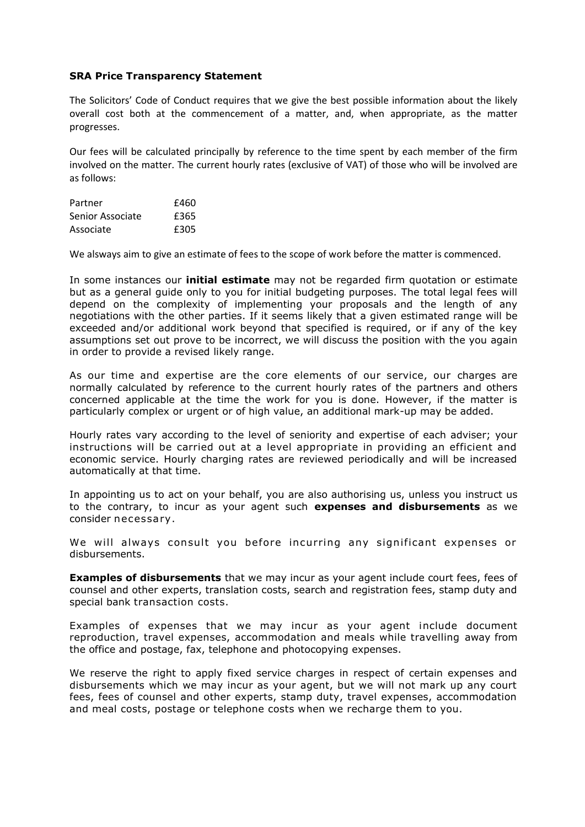## **SRA Price Transparency Statement**

The Solicitors' Code of Conduct requires that we give the best possible information about the likely overall cost both at the commencement of a matter, and, when appropriate, as the matter progresses.

Our fees will be calculated principally by reference to the time spent by each member of the firm involved on the matter. The current hourly rates (exclusive of VAT) of those who will be involved are as follows:

| Partner          | £460 |
|------------------|------|
| Senior Associate | £365 |
| Associate        | £305 |

We alsways aim to give an estimate of fees to the scope of work before the matter is commenced.

In some instances our **initial estimate** may not be regarded firm quotation or estimate but as a general guide only to you for initial budgeting purposes. The total legal fees will depend on the complexity of implementing your proposals and the length of any negotiations with the other parties. If it seems likely that a given estimated range will be exceeded and/or additional work beyond that specified is required, or if any of the key assumptions set out prove to be incorrect, we will discuss the position with the you again in order to provide a revised likely range.

As our time and expertise are the core elements of our service, our charges are normally calculated by reference to the current hourly rates of the partners and others concerned applicable at the time the work for you is done. However, if the matter is particularly complex or urgent or of high value, an additional mark-up may be added.

Hourly rates vary according to the level of seniority and expertise of each adviser; your instructions will be carried out at a level appropriate in providing an efficient and economic service. Hourly charging rates are reviewed periodically and will be increased automatically at that time.

In appointing us to act on your behalf, you are also authorising us, unless you instruct us to the contrary, to incur as your agent such **expenses and disbursements** as we consider necessa ry .

We will always consult you before incurring any significant expenses or disbursements.

**Examples of disbursements** that we may incur as your agent include court fees, fees of counsel and other experts, translation costs, search and registration fees, stamp duty and special bank transaction costs.

Examples of expenses that we may incur as your agent include document reproduction, travel expenses, accommodation and meals while travelling away from the office and postage, fax, telephone and photocopying expenses.

We reserve the right to apply fixed service charges in respect of certain expenses and disbursements which we may incur as your agent, but we will not mark up any court fees, fees of counsel and other experts, stamp duty, travel expenses, accommodation and meal costs, postage or telephone costs when we recharge them to you.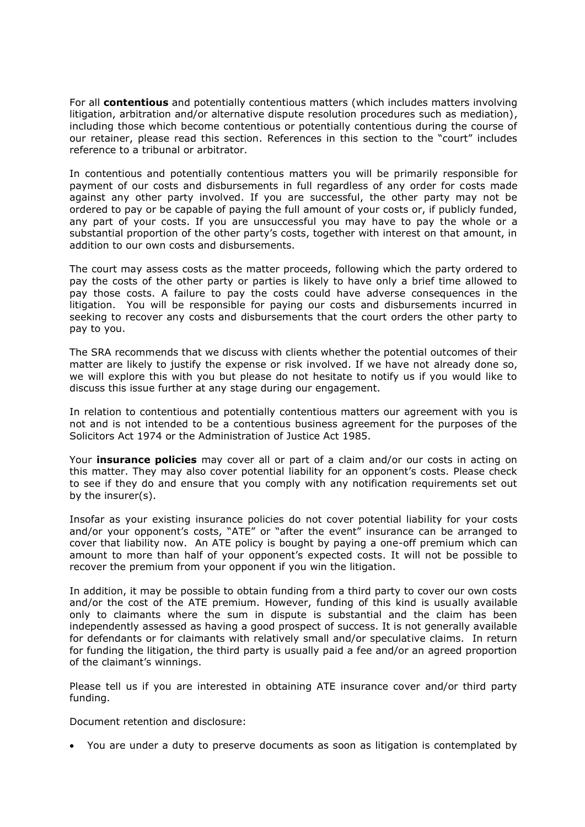For all **contentious** and potentially contentious matters (which includes matters involving litigation, arbitration and/or alternative dispute resolution procedures such as mediation), including those which become contentious or potentially contentious during the course of our retainer, please read this section. References in this section to the "court" includes reference to a tribunal or arbitrator.

In contentious and potentially contentious matters you will be primarily responsible for payment of our costs and disbursements in full regardless of any order for costs made against any other party involved. If you are successful, the other party may not be ordered to pay or be capable of paying the full amount of your costs or, if publicly funded, any part of your costs. If you are unsuccessful you may have to pay the whole or a substantial proportion of the other party's costs, together with interest on that amount, in addition to our own costs and disbursements.

The court may assess costs as the matter proceeds, following which the party ordered to pay the costs of the other party or parties is likely to have only a brief time allowed to pay those costs. A failure to pay the costs could have adverse consequences in the litigation. You will be responsible for paying our costs and disbursements incurred in seeking to recover any costs and disbursements that the court orders the other party to pay to you.

The SRA recommends that we discuss with clients whether the potential outcomes of their matter are likely to justify the expense or risk involved. If we have not already done so, we will explore this with you but please do not hesitate to notify us if you would like to discuss this issue further at any stage during our engagement.

In relation to contentious and potentially contentious matters our agreement with you is not and is not intended to be a contentious business agreement for the purposes of the Solicitors Act 1974 or the Administration of Justice Act 1985.

Your **insurance policies** may cover all or part of a claim and/or our costs in acting on this matter. They may also cover potential liability for an opponent's costs. Please check to see if they do and ensure that you comply with any notification requirements set out by the insurer(s).

Insofar as your existing insurance policies do not cover potential liability for your costs and/or your opponent's costs, "ATE" or "after the event" insurance can be arranged to cover that liability now. An ATE policy is bought by paying a one-off premium which can amount to more than half of your opponent's expected costs. It will not be possible to recover the premium from your opponent if you win the litigation.

In addition, it may be possible to obtain funding from a third party to cover our own costs and/or the cost of the ATE premium. However, funding of this kind is usually available only to claimants where the sum in dispute is substantial and the claim has been independently assessed as having a good prospect of success. It is not generally available for defendants or for claimants with relatively small and/or speculative claims. In return for funding the litigation, the third party is usually paid a fee and/or an agreed proportion of the claimant's winnings.

Please tell us if you are interested in obtaining ATE insurance cover and/or third party funding.

Document retention and disclosure:

• You are under a duty to preserve documents as soon as litigation is contemplated by